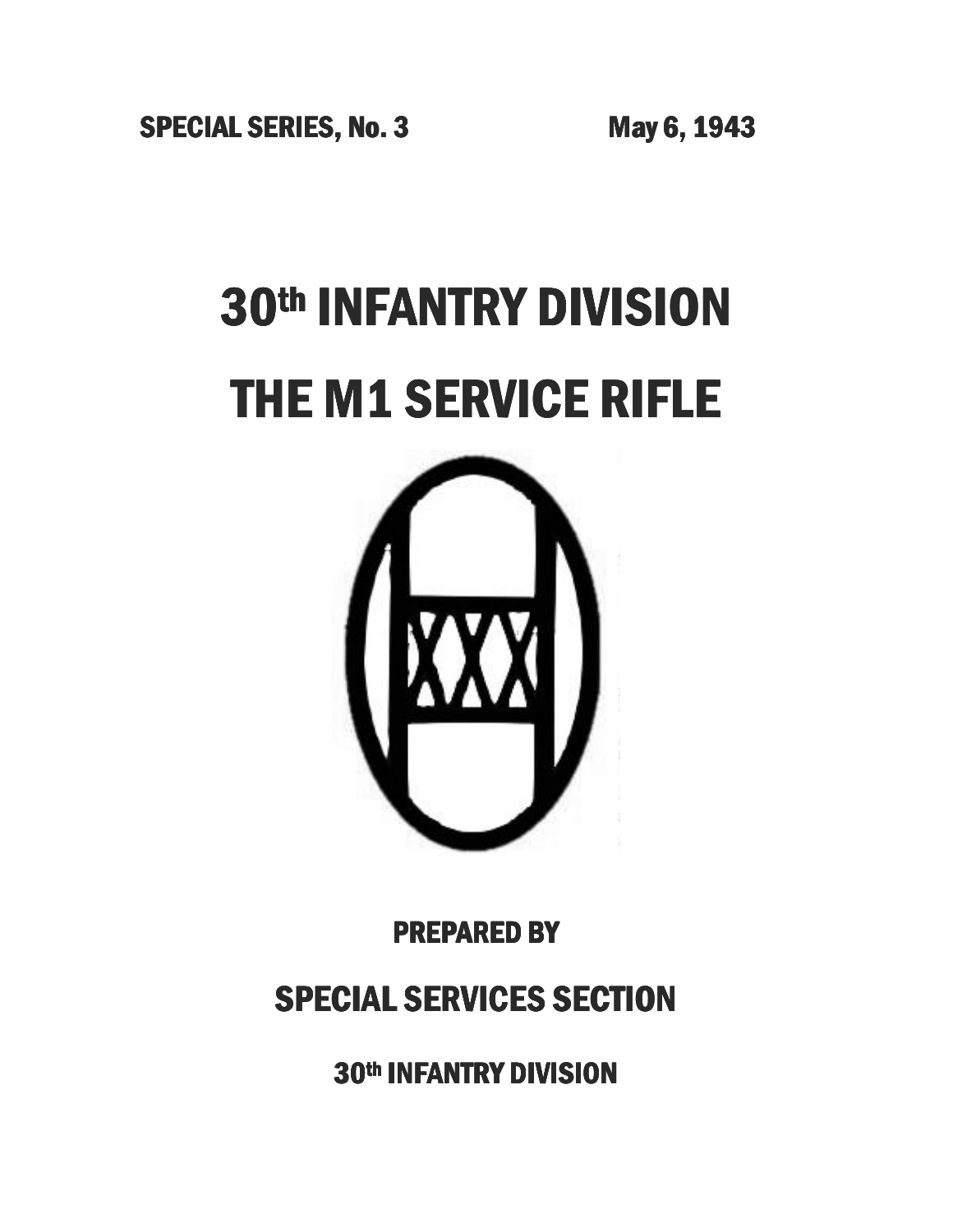**SPECIAL SERIES, No. 3 May 6, 1943** 

# 30th INFANTRY DIVISION THE M1 SERVICE RIFLE



PREPARED BY

## **SPECIAL SERVICES SECTION**

30th INFANTRY DIVISION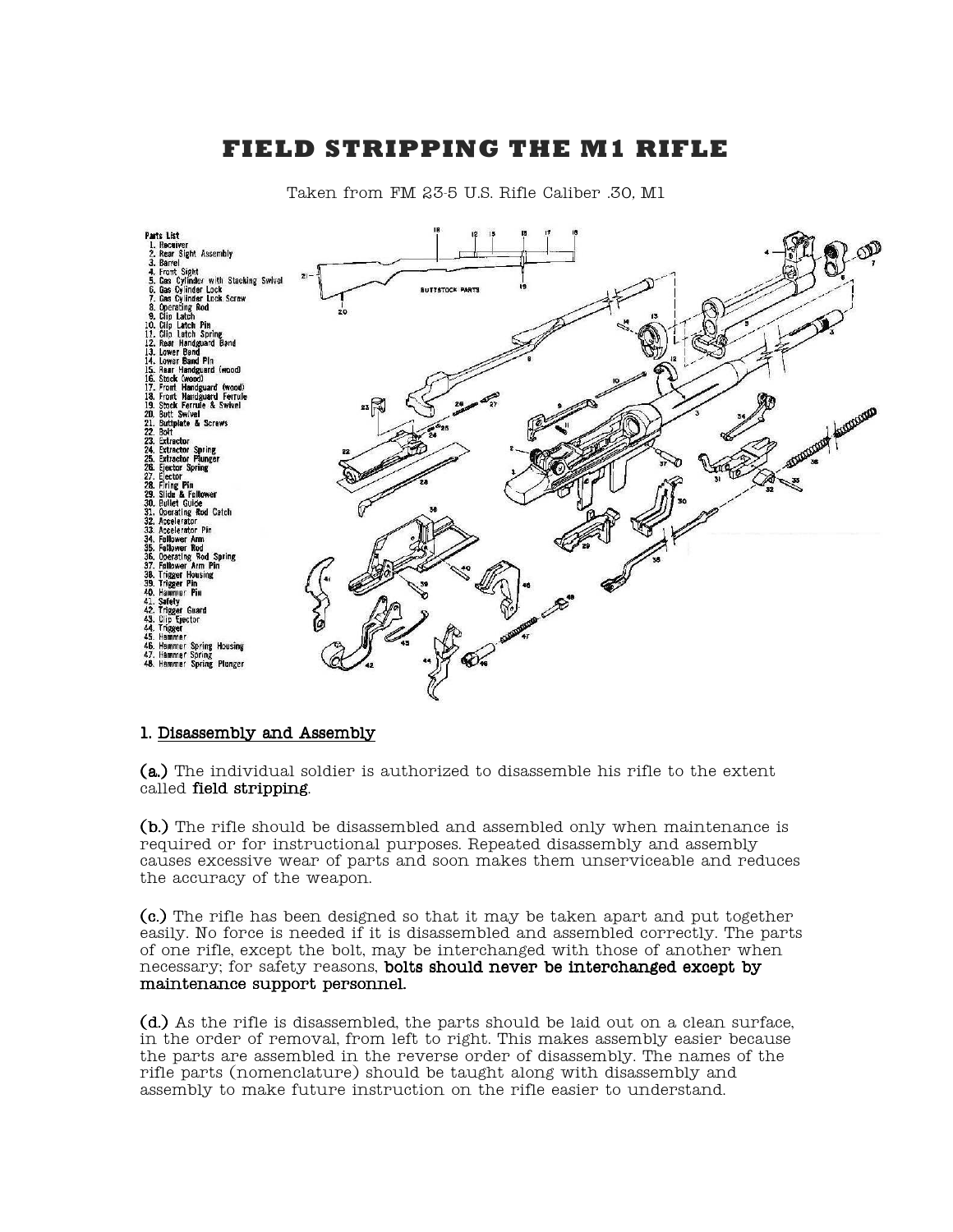### **FIELD STRIPPING THE M1 RIFLE**



Taken from FM 23-5 U.S. Rifle Caliber .30, M1

#### 1. Disassembly and Assembly 1. Disassembly and Assembly

 $(a.)$  The individual soldier is authorized to disassemble his rifle to the extent called field stripping.

 $(b.)$  The rifle should be disassembled and assembled only when maintenance is required or for instructional purposes. Repeated disassembly and assembly causes excessive wear of parts and soon makes them unserviceable and reduces the accuracy of the weapon.

 $(c.)$  The rifle has been designed so that it may be taken apart and put together easily. No force is needed if it is disassembled and assembled correctly. The parts of one rifle, except the bolt, may be interchanged with those of another when necessary; for safety reasons, bolts should never be interchanged except by maintenance support personnel.

 $(d.)$  As the rifle is disassembled, the parts should be laid out on a clean surface, in the order of removal, from left to right. This makes assembly easier because the parts are assembled in the reverse order of disassembly. The names of the rifle parts (nomenclature) should be taught along with disassembly and assembly to make future instruction on the rifle easier to understand.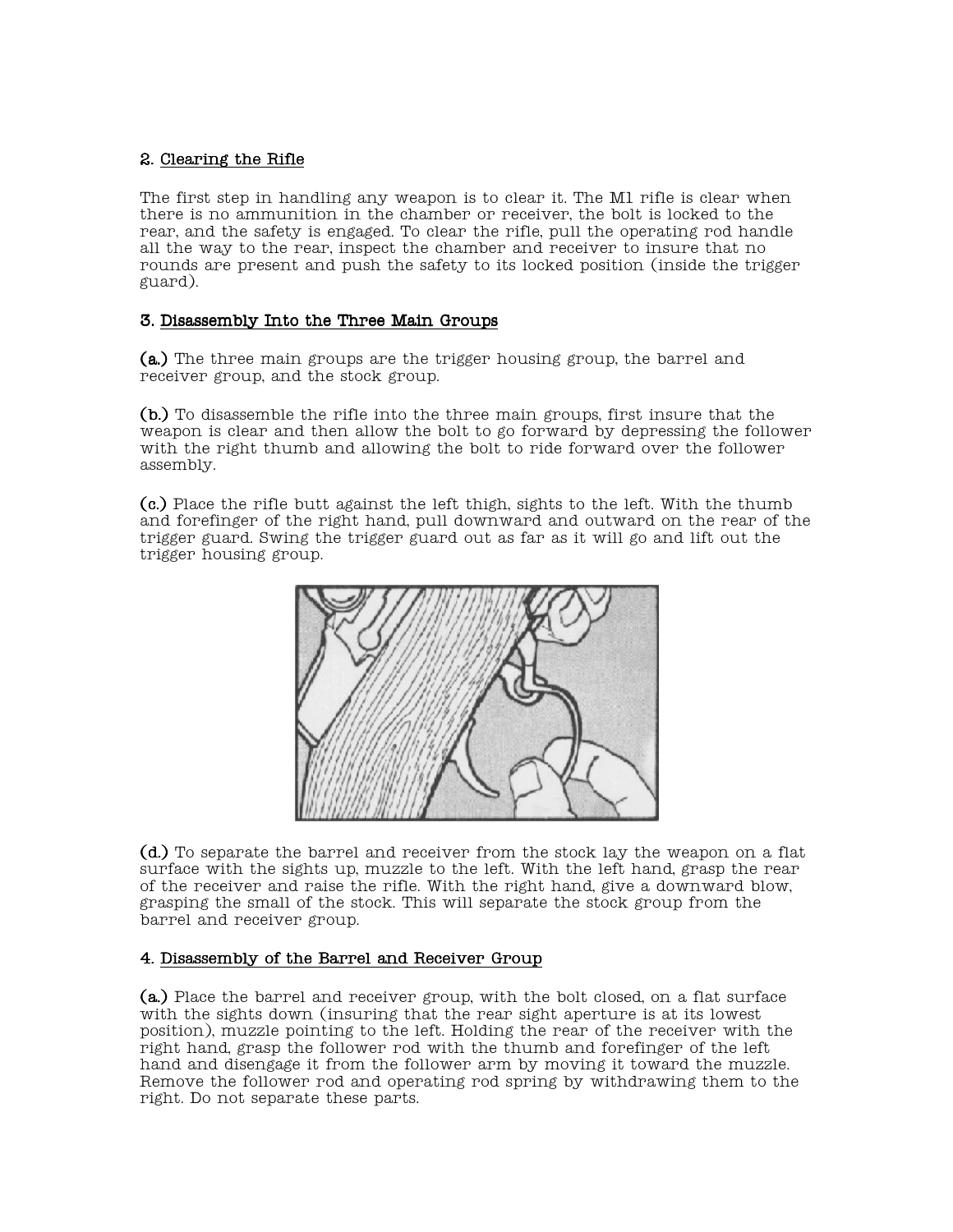#### 2. Clearing the Rifle 2. Clearing the Rifle

The first step in handling any weapon is to clear it. The M1 rifle is clear when there is no ammunition in the chamber or receiver, the bolt is locked to the rear, and the safety is engaged. To clear the rifle, pull the operating rod handle all the way to the rear, inspect the chamber and receiver to insure that no rounds are present and push the safety to its locked position (inside the trigger guard).

#### 3. Disassembly Into the Three Main Groups 3. Disassembly Into the Three Main Groups

 $(a)$  The three main groups are the trigger housing group, the barrel and receiver group, and the stock group.

(b.) To disassemble the rifle into the three main groups, first insure that the weapon is clear and then allow the bolt to go forward by depressing the follower with the right thumb and allowing the bolt to ride forward over the follower assembly.

 $(c.)$  Place the rifle butt against the left thigh, sights to the left. With the thumb and forefinger of the right hand, pull downward and outward on the rear of the trigger guard. Swing the trigger guard out as far as it will go and lift out the trigger housing group.



 $(d.)$  To separate the barrel and receiver from the stock lay the weapon on a flat surface with the sights up, muzzle to the left. With the left hand, grasp the rear of the receiver and raise the rifle. With the right hand, give a downward blow, grasping the small of the stock. This will separate the stock group from the barrel and receiver group.

#### 4. Disassembly of the Barrel and Receiver Group

(a.) Place the barrel and receiver group, with the bolt closed, on a flat surface with the sights down (insuring that the rear sight aperture is at its lowest position), muzzle pointing to the left. Holding the rear of the receiver with the right hand, grasp the follower rod with the thumb and forefinger of the left hand and disengage it from the follower arm by moving it toward the muzzle. Remove the follower rod and operating rod spring by withdrawing them to the right. Do not separate these parts.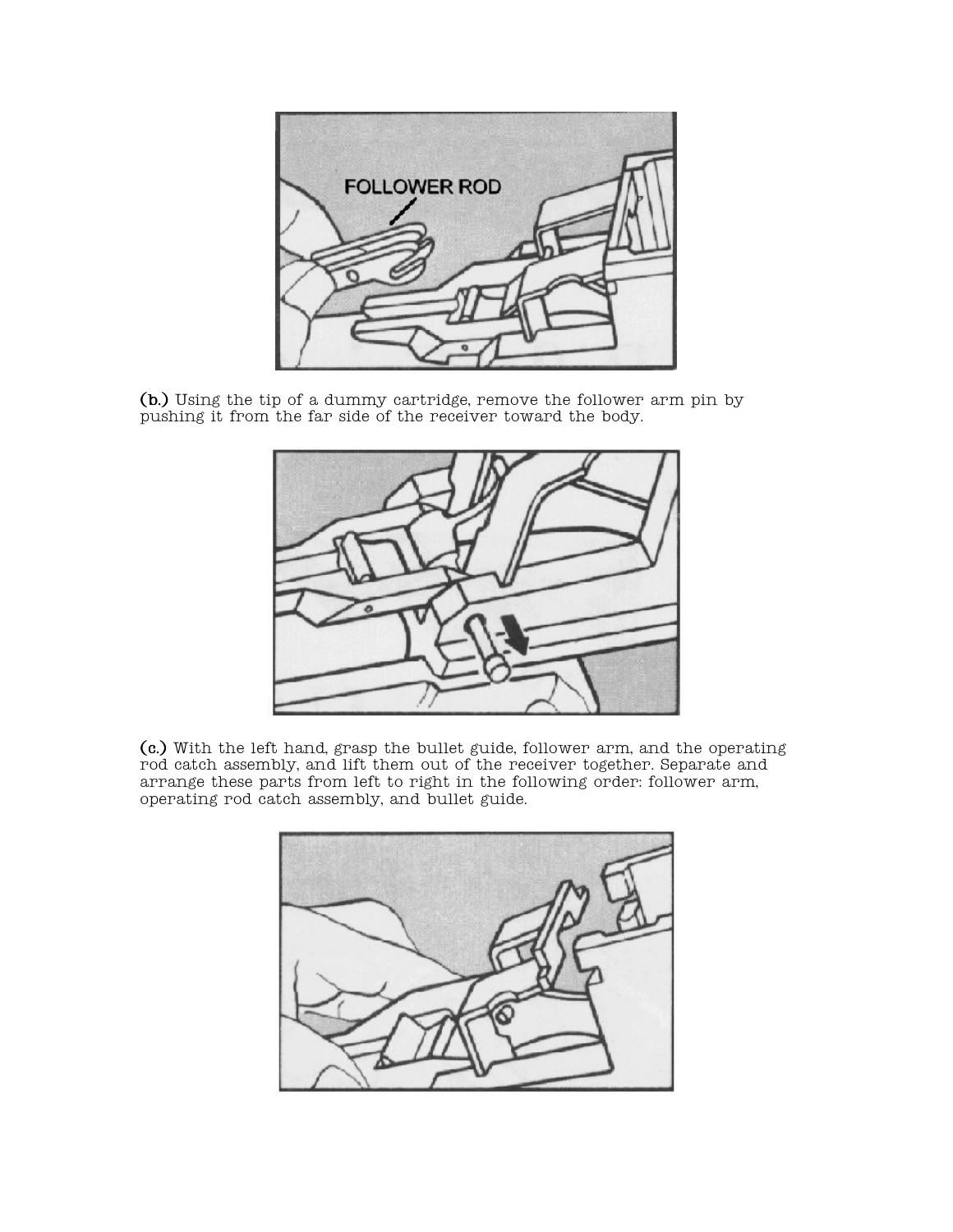

 $(b.)$  Using the tip of a dummy cartridge, remove the follower arm pin by pushing it from the far side of the receiver toward the body.



(c.) With the left hand, grasp the bullet guide, follower arm, and the operating rod catch assembly, and lift them out of the receiver together. Separate and arrange these parts from left to right in the following order: follower arm, operating rod catch assembly, and bullet guide.

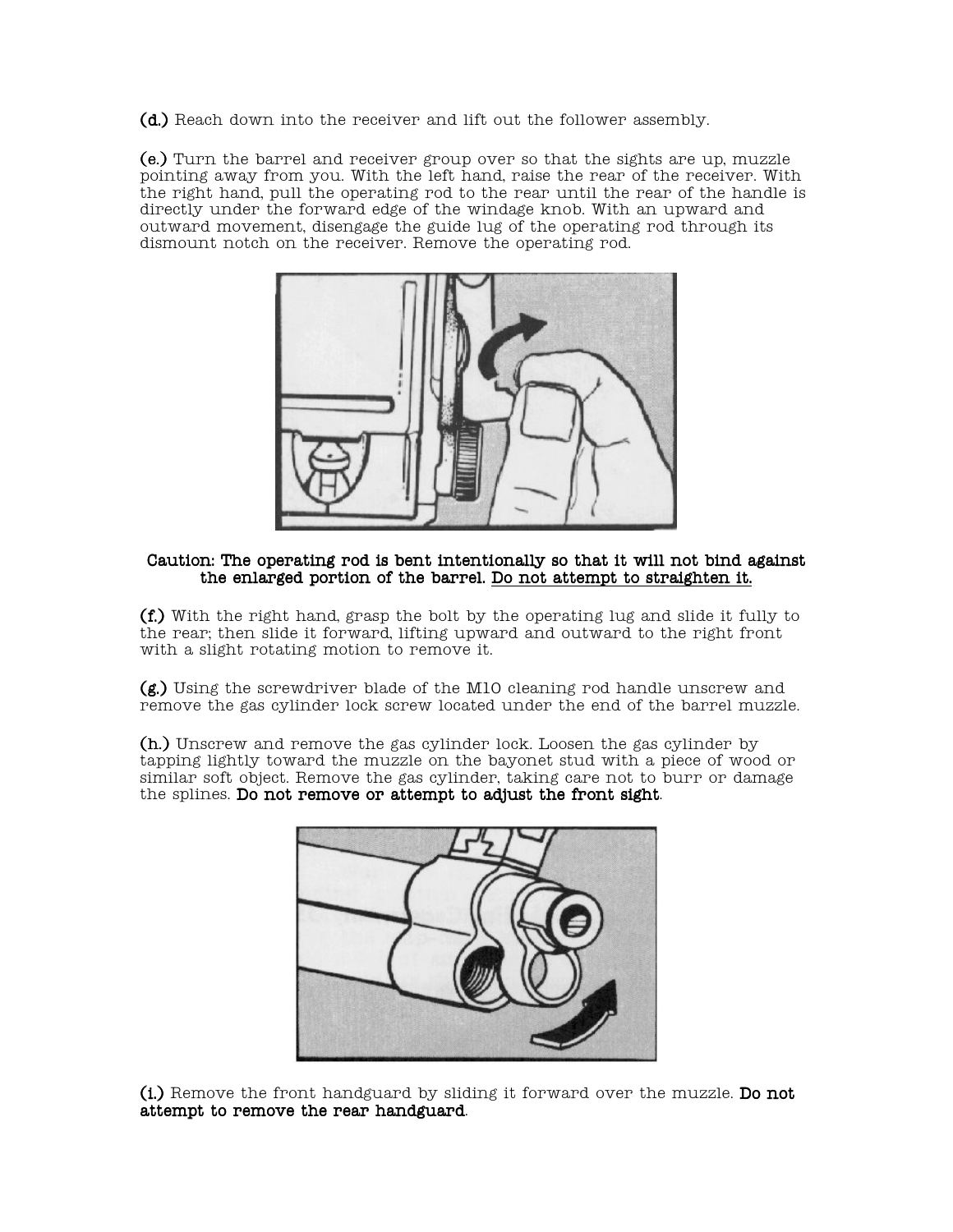$(d.)$  Reach down into the receiver and lift out the follower assembly.

 $(e.)$  Turn the barrel and receiver group over so that the sights are up, muzzle pointing away from you. With the left hand, raise the rear of the receiver. With the right hand, pull the operating rod to the rear until the rear of the handle is directly under the forward edge of the windage knob. With an upward and outward movement, disengage the guide lug of the operating rod through its dismount notch on the receiver. Remove the operating rod.



#### Caution: The operating rod is bent intentionally so that it will not bind against the enlarged portion of the barrel. Do not attempt to straighten it.

 $(f.)$  With the right hand, grasp the bolt by the operating lug and slide it fully to the rear; then slide it forward, lifting upward and outward to the right front with a slight rotating motion to remove it.

 $(g.)$  Using the screwdriver blade of the M10 cleaning rod handle unscrew and remove the gas cylinder lock screw located under the end of the barrel muzzle.

 $(h.)$  Unscrew and remove the gas cylinder lock. Loosen the gas cylinder by tapping lightly toward the muzzle on the bayonet stud with a piece of wood or similar soft object. Remove the gas cylinder, taking care not to burr or damage the splines. Do not remove or attempt to adjust the front sight.



 $(i)$  Remove the front handguard by sliding it forward over the muzzle. Do not attempt to remove the rear handguard.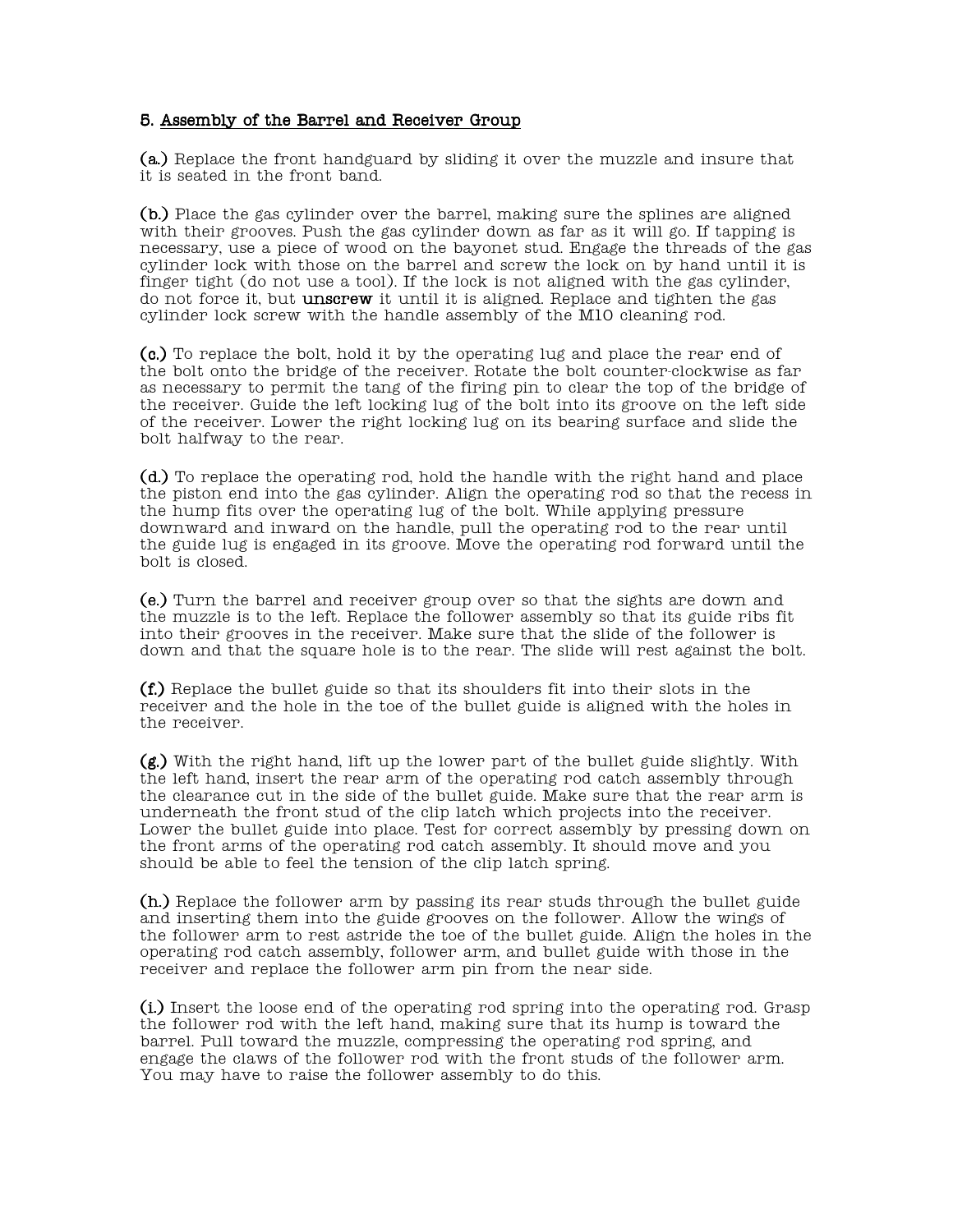#### 5. Assembly of the Barrel and Receiver Group

(a.) Replace the front handguard by sliding it over the muzzle and insure that it is seated in the front band.

 $(b.)$  Place the gas cylinder over the barrel, making sure the splines are aligned with their grooves. Push the gas cylinder down as far as it will go. If tapping is necessary, use a piece of wood on the bayonet stud. Engage the threads of the gas cylinder lock with those on the barrel and screw the lock on by hand until it is finger tight (do not use a tool). If the lock is not aligned with the gas cylinder, do not force it, but **unscrew** it until it is aligned. Replace and tighten the gas cylinder lock screw with the handle assembly of the M10 cleaning rod.

 $(c.)$  To replace the bolt, hold it by the operating lug and place the rear end of the bolt onto the bridge of the receiver. Rotate the bolt counter-clockwise as far as necessary to permit the tang of the firing pin to clear the top of the bridge of the receiver. Guide the left locking lug of the bolt into its groove on the left side of the receiver. Lower the right locking lug on its bearing surface and slide the bolt halfway to the rear.

 $(d.)$  To replace the operating rod, hold the handle with the right hand and place the piston end into the gas cylinder. Align the operating rod so that the recess in the hump fits over the operating lug of the bolt. While applying pressure downward and inward on the handle, pull the operating rod to the rear until the guide lug is engaged in its groove. Move the operating rod forward until the bolt is closed.

(e.) Turn the barrel and receiver group over so that the sights are down and the muzzle is to the left. Replace the follower assembly so that its guide ribs fit into their grooves in the receiver. Make sure that the slide of the follower is down and that the square hole is to the rear. The slide will rest against the bolt.

 $(f)$ .) Replace the bullet guide so that its shoulders fit into their slots in the receiver and the hole in the toe of the bullet guide is aligned with the holes in the receiver.

 $(g)$ .) With the right hand, lift up the lower part of the bullet guide slightly. With the left hand, insert the rear arm of the operating rod catch assembly through the clearance cut in the side of the bullet guide. Make sure that the rear arm is underneath the front stud of the clip latch which projects into the receiver. Lower the bullet guide into place. Test for correct assembly by pressing down on the front arms of the operating rod catch assembly. It should move and you should be able to feel the tension of the clip latch spring.

 $(h)$ .) Replace the follower arm by passing its rear studs through the bullet guide and inserting them into the guide grooves on the follower. Allow the wings of the follower arm to rest astride the toe of the bullet guide. Align the holes in the operating rod catch assembly, follower arm, and bullet guide with those in the receiver and replace the follower arm pin from the near side.

 $(i)$  Insert the loose end of the operating rod spring into the operating rod. Grasp the follower rod with the left hand, making sure that its hump is toward the barrel. Pull toward the muzzle, compressing the operating rod spring, and engage the claws of the follower rod with the front studs of the follower arm. You may have to raise the follower assembly to do this.